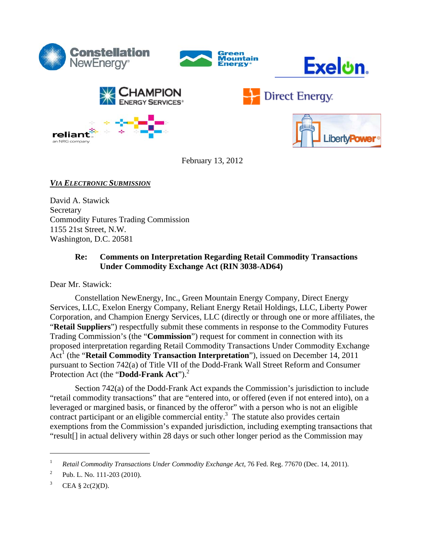

reliant











February 13, 2012

# *VIA ELECTRONIC SUBMISSION*

David A. Stawick **Secretary** Commodity Futures Trading Commission 1155 21st Street, N.W. Washington, D.C. 20581

# **Re: Comments on Interpretation Regarding Retail Commodity Transactions Under Commodity Exchange Act (RIN 3038-AD64)**

Dear Mr. Stawick:

Constellation NewEnergy, Inc., Green Mountain Energy Company, Direct Energy Services, LLC, Exelon Energy Company, Reliant Energy Retail Holdings, LLC, Liberty Power Corporation, and Champion Energy Services, LLC (directly or through one or more affiliates, the "**Retail Suppliers**") respectfully submit these comments in response to the Commodity Futures Trading Commission's (the "**Commission**") request for comment in connection with its proposed interpretation regarding Retail Commodity Transactions Under Commodity Exchange Act<sup>1</sup> (the "**Retail Commodity Transaction Interpretation**"), issued on December 14, 2011 pursuant to Section 742(a) of Title VII of the Dodd-Frank Wall Street Reform and Consumer Protection Act (the "**Dodd-Frank Act**").<sup>2</sup>

Section 742(a) of the Dodd-Frank Act expands the Commission's jurisdiction to include "retail commodity transactions" that are "entered into, or offered (even if not entered into), on a leveraged or margined basis, or financed by the offeror" with a person who is not an eligible contract participant or an eligible commercial entity.<sup>3</sup> The statute also provides certain exemptions from the Commission's expanded jurisdiction, including exempting transactions that "result[] in actual delivery within 28 days or such other longer period as the Commission may

<sup>1</sup> *Retail Commodity Transactions Under Commodity Exchange Act*, 76 Fed. Reg. 77670 (Dec. 14, 2011).

<sup>2</sup> Pub. L. No. 111-203 (2010).

<sup>3</sup> CEA  $\S$  2c(2)(D).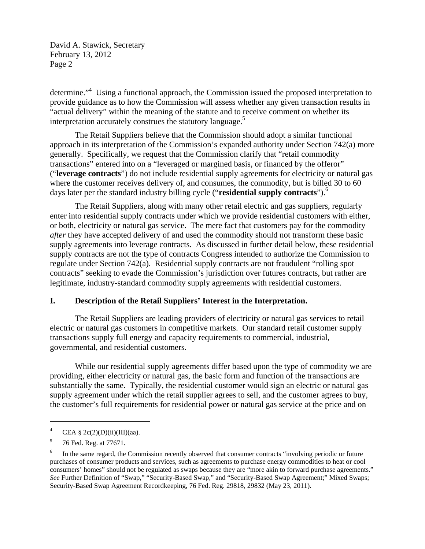determine."<sup>4</sup> Using a functional approach, the Commission issued the proposed interpretation to provide guidance as to how the Commission will assess whether any given transaction results in "actual delivery" within the meaning of the statute and to receive comment on whether its interpretation accurately construes the statutory language.<sup>5</sup>

The Retail Suppliers believe that the Commission should adopt a similar functional approach in its interpretation of the Commission's expanded authority under Section 742(a) more generally. Specifically, we request that the Commission clarify that "retail commodity transactions" entered into on a "leveraged or margined basis, or financed by the offeror" ("**leverage contracts**") do not include residential supply agreements for electricity or natural gas where the customer receives delivery of, and consumes, the commodity, but is billed 30 to 60 days later per the standard industry billing cycle ("**residential supply contracts**").6

The Retail Suppliers, along with many other retail electric and gas suppliers, regularly enter into residential supply contracts under which we provide residential customers with either, or both, electricity or natural gas service. The mere fact that customers pay for the commodity *after* they have accepted delivery of and used the commodity should not transform these basic supply agreements into leverage contracts. As discussed in further detail below, these residential supply contracts are not the type of contracts Congress intended to authorize the Commission to regulate under Section 742(a). Residential supply contracts are not fraudulent "rolling spot contracts" seeking to evade the Commission's jurisdiction over futures contracts, but rather are legitimate, industry-standard commodity supply agreements with residential customers.

#### **I. Description of the Retail Suppliers' Interest in the Interpretation.**

The Retail Suppliers are leading providers of electricity or natural gas services to retail electric or natural gas customers in competitive markets. Our standard retail customer supply transactions supply full energy and capacity requirements to commercial, industrial, governmental, and residential customers.

While our residential supply agreements differ based upon the type of commodity we are providing, either electricity or natural gas, the basic form and function of the transactions are substantially the same. Typically, the residential customer would sign an electric or natural gas supply agreement under which the retail supplier agrees to sell, and the customer agrees to buy, the customer's full requirements for residential power or natural gas service at the price and on

<sup>4</sup> CEA § 2c(2)(D)(ii)(III)(aa).

<sup>5</sup> 76 Fed. Reg. at 77671.

<sup>6</sup> In the same regard, the Commission recently observed that consumer contracts "involving periodic or future purchases of consumer products and services, such as agreements to purchase energy commodities to heat or cool consumers' homes" should not be regulated as swaps because they are "more akin to forward purchase agreements." *See* Further Definition of "Swap," "Security-Based Swap," and "Security-Based Swap Agreement;" Mixed Swaps; Security-Based Swap Agreement Recordkeeping, 76 Fed. Reg. 29818, 29832 (May 23, 2011).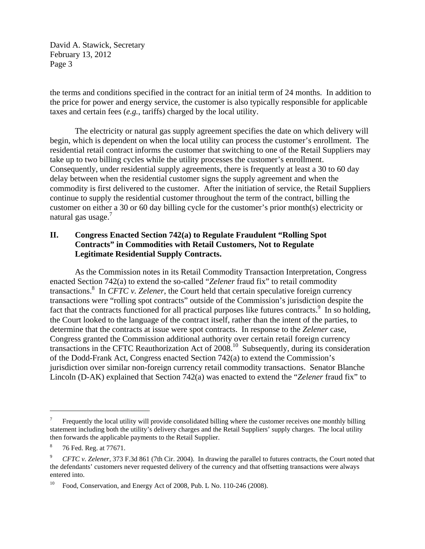the terms and conditions specified in the contract for an initial term of 24 months. In addition to the price for power and energy service, the customer is also typically responsible for applicable taxes and certain fees (*e.g.*, tariffs) charged by the local utility.

The electricity or natural gas supply agreement specifies the date on which delivery will begin, which is dependent on when the local utility can process the customer's enrollment. The residential retail contract informs the customer that switching to one of the Retail Suppliers may take up to two billing cycles while the utility processes the customer's enrollment. Consequently, under residential supply agreements, there is frequently at least a 30 to 60 day delay between when the residential customer signs the supply agreement and when the commodity is first delivered to the customer. After the initiation of service, the Retail Suppliers continue to supply the residential customer throughout the term of the contract, billing the customer on either a 30 or 60 day billing cycle for the customer's prior month(s) electricity or natural gas usage.<sup>7</sup>

### **II. Congress Enacted Section 742(a) to Regulate Fraudulent "Rolling Spot Contracts" in Commodities with Retail Customers, Not to Regulate Legitimate Residential Supply Contracts.**

As the Commission notes in its Retail Commodity Transaction Interpretation, Congress enacted Section 742(a) to extend the so-called "*Zelener* fraud fix" to retail commodity transactions.8 In *CFTC v. Zelener*, the Court held that certain speculative foreign currency transactions were "rolling spot contracts" outside of the Commission's jurisdiction despite the fact that the contracts functioned for all practical purposes like futures contracts.<sup>9</sup> In so holding, the Court looked to the language of the contract itself, rather than the intent of the parties, to determine that the contracts at issue were spot contracts. In response to the *Zelener* case, Congress granted the Commission additional authority over certain retail foreign currency transactions in the CFTC Reauthorization Act of 2008.10 Subsequently, during its consideration of the Dodd-Frank Act, Congress enacted Section 742(a) to extend the Commission's jurisdiction over similar non-foreign currency retail commodity transactions. Senator Blanche Lincoln (D-AK) explained that Section 742(a) was enacted to extend the "*Zelener* fraud fix" to

<sup>7</sup> Frequently the local utility will provide consolidated billing where the customer receives one monthly billing statement including both the utility's delivery charges and the Retail Suppliers' supply charges. The local utility then forwards the applicable payments to the Retail Supplier.

<sup>8</sup> 76 Fed. Reg. at 77671.

<sup>9</sup> *CFTC v. Zelener*, 373 F.3d 861 (7th Cir. 2004). In drawing the parallel to futures contracts, the Court noted that the defendants' customers never requested delivery of the currency and that offsetting transactions were always entered into.

 $10$  Food, Conservation, and Energy Act of 2008, Pub. L No. 110-246 (2008).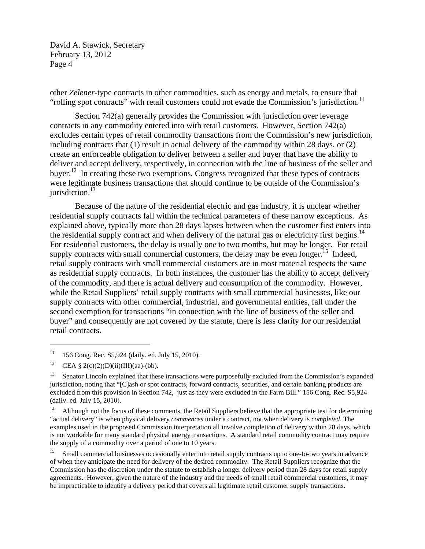other *Zelener*-type contracts in other commodities, such as energy and metals, to ensure that "rolling spot contracts" with retail customers could not evade the Commission's jurisdiction.<sup>11</sup>

Section 742(a) generally provides the Commission with jurisdiction over leverage contracts in any commodity entered into with retail customers. However, Section 742(a) excludes certain types of retail commodity transactions from the Commission's new jurisdiction, including contracts that (1) result in actual delivery of the commodity within 28 days, or (2) create an enforceable obligation to deliver between a seller and buyer that have the ability to deliver and accept delivery, respectively, in connection with the line of business of the seller and buyer.<sup>12</sup> In creating these two exemptions, Congress recognized that these types of contracts were legitimate business transactions that should continue to be outside of the Commission's jurisdiction. $^{13}$ 

Because of the nature of the residential electric and gas industry, it is unclear whether residential supply contracts fall within the technical parameters of these narrow exceptions. As explained above, typically more than 28 days lapses between when the customer first enters into the residential supply contract and when delivery of the natural gas or electricity first begins.<sup>14</sup> For residential customers, the delay is usually one to two months, but may be longer. For retail supply contracts with small commercial customers, the delay may be even longer.<sup>15</sup> Indeed, retail supply contracts with small commercial customers are in most material respects the same as residential supply contracts. In both instances, the customer has the ability to accept delivery of the commodity, and there is actual delivery and consumption of the commodity. However, while the Retail Suppliers' retail supply contracts with small commercial businesses, like our supply contracts with other commercial, industrial, and governmental entities, fall under the second exemption for transactions "in connection with the line of business of the seller and buyer" and consequently are not covered by the statute, there is less clarity for our residential retail contracts.

 $11$  156 Cong. Rec. S5,924 (daily. ed. July 15, 2010).

<sup>&</sup>lt;sup>12</sup> CEA § 2(c)(2)(D)(ii)(III)(aa)-(bb).

<sup>&</sup>lt;sup>13</sup> Senator Lincoln explained that these transactions were purposefully excluded from the Commission's expanded jurisdiction, noting that "[C]ash or spot contracts, forward contracts, securities, and certain banking products are excluded from this provision in Section 742, just as they were excluded in the Farm Bill." 156 Cong. Rec. S5,924 (daily. ed. July 15, 2010).

<sup>&</sup>lt;sup>14</sup> Although not the focus of these comments, the Retail Suppliers believe that the appropriate test for determining "actual delivery" is when physical delivery *commences* under a contract, not when delivery is *completed*. The examples used in the proposed Commission interpretation all involve completion of delivery within 28 days, which is not workable for many standard physical energy transactions. A standard retail commodity contract may require the supply of a commodity over a period of one to 10 years.

Small commercial businesses occasionally enter into retail supply contracts up to one-to-two years in advance of when they anticipate the need for delivery of the desired commodity. The Retail Suppliers recognize that the Commission has the discretion under the statute to establish a longer delivery period than 28 days for retail supply agreements. However, given the nature of the industry and the needs of small retail commercial customers, it may be impracticable to identify a delivery period that covers all legitimate retail customer supply transactions.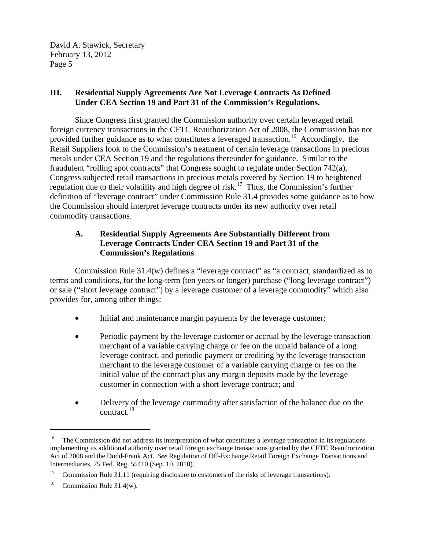## **III. Residential Supply Agreements Are Not Leverage Contracts As Defined Under CEA Section 19 and Part 31 of the Commission's Regulations.**

Since Congress first granted the Commission authority over certain leveraged retail foreign currency transactions in the CFTC Reauthorization Act of 2008, the Commission has not provided further guidance as to what constitutes a leveraged transaction.<sup>16</sup> Accordingly, the Retail Suppliers look to the Commission's treatment of certain leverage transactions in precious metals under CEA Section 19 and the regulations thereunder for guidance. Similar to the fraudulent "rolling spot contracts" that Congress sought to regulate under Section 742(a), Congress subjected retail transactions in precious metals covered by Section 19 to heightened regulation due to their volatility and high degree of risk.<sup>17</sup> Thus, the Commission's further definition of "leverage contract" under Commission Rule 31.4 provides some guidance as to how the Commission should interpret leverage contracts under its new authority over retail commodity transactions.

## **A. Residential Supply Agreements Are Substantially Different from Leverage Contracts Under CEA Section 19 and Part 31 of the Commission's Regulations**.

Commission Rule 31.4(w) defines a "leverage contract" as "a contract, standardized as to terms and conditions, for the long-term (ten years or longer) purchase ("long leverage contract") or sale ("short leverage contract") by a leverage customer of a leverage commodity" which also provides for, among other things:

- Initial and maintenance margin payments by the leverage customer;
- Periodic payment by the leverage customer or accrual by the leverage transaction merchant of a variable carrying charge or fee on the unpaid balance of a long leverage contract, and periodic payment or crediting by the leverage transaction merchant to the leverage customer of a variable carrying charge or fee on the initial value of the contract plus any margin deposits made by the leverage customer in connection with a short leverage contract; and
- Delivery of the leverage commodity after satisfaction of the balance due on the contract.18

<sup>&</sup>lt;sup>16</sup> The Commission did not address its interpretation of what constitutes a leverage transaction in its regulations implementing its additional authority over retail foreign exchange transactions granted by the CFTC Reauthorization Act of 2008 and the Dodd-Frank Act. *See* Regulation of Off-Exchange Retail Foreign Exchange Transactions and Intermediaries, 75 Fed. Reg. 55410 (Sep. 10, 2010).

<sup>&</sup>lt;sup>17</sup> Commission Rule 31.11 (requiring disclosure to customers of the risks of leverage transactions).

<sup>&</sup>lt;sup>18</sup> Commission Rule 31.4(w).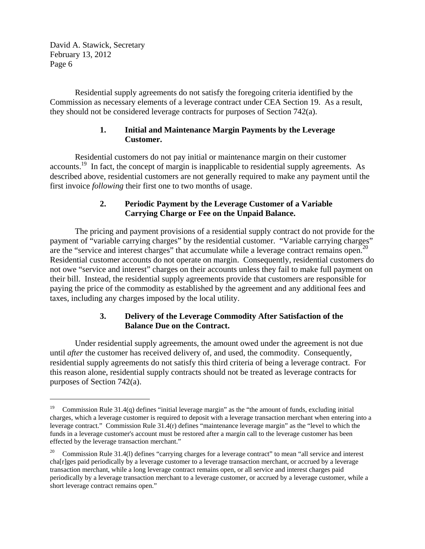$\overline{a}$ 

Residential supply agreements do not satisfy the foregoing criteria identified by the Commission as necessary elements of a leverage contract under CEA Section 19. As a result, they should not be considered leverage contracts for purposes of Section 742(a).

### **1. Initial and Maintenance Margin Payments by the Leverage Customer.**

Residential customers do not pay initial or maintenance margin on their customer accounts.19 In fact, the concept of margin is inapplicable to residential supply agreements. As described above, residential customers are not generally required to make any payment until the first invoice *following* their first one to two months of usage.

# **2. Periodic Payment by the Leverage Customer of a Variable Carrying Charge or Fee on the Unpaid Balance.**

The pricing and payment provisions of a residential supply contract do not provide for the payment of "variable carrying charges" by the residential customer. "Variable carrying charges" are the "service and interest charges" that accumulate while a leverage contract remains open.<sup>20</sup> Residential customer accounts do not operate on margin. Consequently, residential customers do not owe "service and interest" charges on their accounts unless they fail to make full payment on their bill. Instead, the residential supply agreements provide that customers are responsible for paying the price of the commodity as established by the agreement and any additional fees and taxes, including any charges imposed by the local utility.

# **3. Delivery of the Leverage Commodity After Satisfaction of the Balance Due on the Contract.**

Under residential supply agreements, the amount owed under the agreement is not due until *after* the customer has received delivery of, and used, the commodity. Consequently, residential supply agreements do not satisfy this third criteria of being a leverage contract. For this reason alone, residential supply contracts should not be treated as leverage contracts for purposes of Section 742(a).

<sup>19</sup> Commission Rule 31.4(q) defines "initial leverage margin" as the "the amount of funds, excluding initial charges, which a leverage customer is required to deposit with a leverage transaction merchant when entering into a leverage contract." Commission Rule 31.4(r) defines "maintenance leverage margin" as the "level to which the funds in a leverage customer's account must be restored after a margin call to the leverage customer has been effected by the leverage transaction merchant."

<sup>&</sup>lt;sup>20</sup> Commission Rule 31.4(1) defines "carrying charges for a leverage contract" to mean "all service and interest cha[r]ges paid periodically by a leverage customer to a leverage transaction merchant, or accrued by a leverage transaction merchant, while a long leverage contract remains open, or all service and interest charges paid periodically by a leverage transaction merchant to a leverage customer, or accrued by a leverage customer, while a short leverage contract remains open."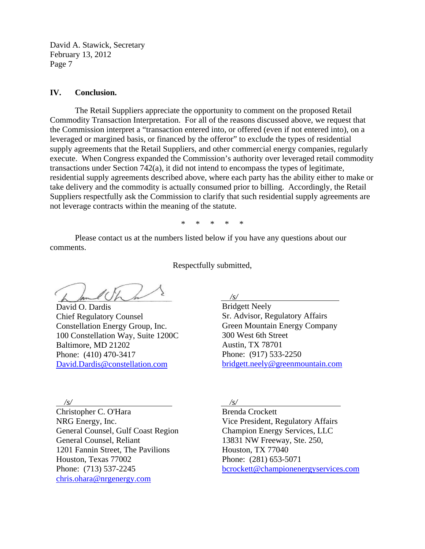#### **IV. Conclusion.**

The Retail Suppliers appreciate the opportunity to comment on the proposed Retail Commodity Transaction Interpretation. For all of the reasons discussed above, we request that the Commission interpret a "transaction entered into, or offered (even if not entered into), on a leveraged or margined basis, or financed by the offeror" to exclude the types of residential supply agreements that the Retail Suppliers, and other commercial energy companies, regularly execute. When Congress expanded the Commission's authority over leveraged retail commodity transactions under Section 742(a), it did not intend to encompass the types of legitimate, residential supply agreements described above, where each party has the ability either to make or take delivery and the commodity is actually consumed prior to billing. Accordingly, the Retail Suppliers respectfully ask the Commission to clarify that such residential supply agreements are not leverage contracts within the meaning of the statute.

\* \* \* \* \*

Please contact us at the numbers listed below if you have any questions about our comments.

Respectfully submitted,

David O. Dardis Chief Regulatory Counsel Constellation Energy Group, Inc. 100 Constellation Way, Suite 1200C Baltimore, MD 21202 Phone: (410) 470-3417 David.Dardis@constellation.com

*/s/* 

Bridgett Neely Sr. Advisor, Regulatory Affairs Green Mountain Energy Company 300 West 6th Street Austin, TX 78701 Phone: (917) 533-2250 bridgett.neely@greenmountain.com

*/s/*  Christopher C. O'Hara NRG Energy, Inc. General Counsel, Gulf Coast Region General Counsel, Reliant 1201 Fannin Street, The Pavilions Houston, Texas 77002 Phone: (713) 537-2245 chris.ohara@nrgenergy.com

*/s/* 

Brenda Crockett Vice President, Regulatory Affairs Champion Energy Services, LLC 13831 NW Freeway, Ste. 250, Houston, TX 77040 Phone: (281) 653-5071 bcrockett@championenergyservices.com